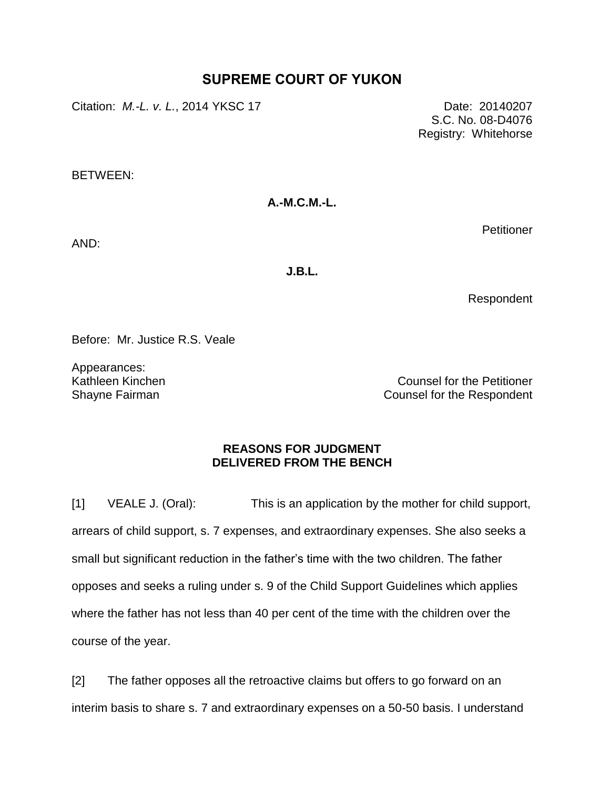# **SUPREME COURT OF YUKON**

Citation: *M.-L. v. L.*, 2014 YKSC 17 Date: 20140207

 S.C. No. 08-D4076 Registry: Whitehorse

BETWEEN:

**A.-M.C.M.-L.**

AND:

**J.B.L.**

Respondent

**Petitioner** 

Before: Mr. Justice R.S. Veale

Appearances: Kathleen Kinchen Shayne Fairman

Counsel for the Petitioner Counsel for the Respondent

# **REASONS FOR JUDGMENT DELIVERED FROM THE BENCH**

[1] VEALE J. (Oral): This is an application by the mother for child support, arrears of child support, s. 7 expenses, and extraordinary expenses. She also seeks a small but significant reduction in the father's time with the two children. The father opposes and seeks a ruling under s. 9 of the Child Support Guidelines which applies where the father has not less than 40 per cent of the time with the children over the course of the year.

[2] The father opposes all the retroactive claims but offers to go forward on an interim basis to share s. 7 and extraordinary expenses on a 50-50 basis. I understand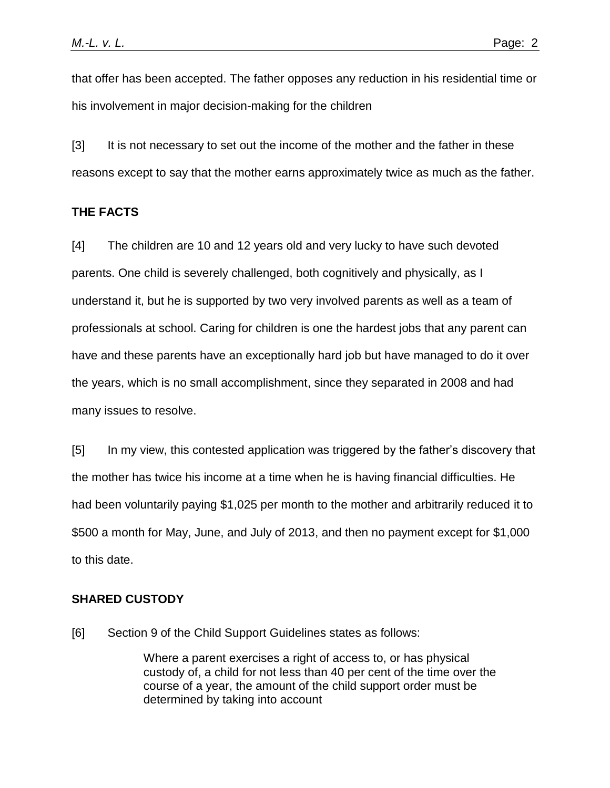that offer has been accepted. The father opposes any reduction in his residential time or his involvement in major decision-making for the children

[3] It is not necessary to set out the income of the mother and the father in these reasons except to say that the mother earns approximately twice as much as the father.

### **THE FACTS**

[4] The children are 10 and 12 years old and very lucky to have such devoted parents. One child is severely challenged, both cognitively and physically, as I understand it, but he is supported by two very involved parents as well as a team of professionals at school. Caring for children is one the hardest jobs that any parent can have and these parents have an exceptionally hard job but have managed to do it over the years, which is no small accomplishment, since they separated in 2008 and had many issues to resolve.

[5] In my view, this contested application was triggered by the father's discovery that the mother has twice his income at a time when he is having financial difficulties. He had been voluntarily paying \$1,025 per month to the mother and arbitrarily reduced it to \$500 a month for May, June, and July of 2013, and then no payment except for \$1,000 to this date.

### **SHARED CUSTODY**

[6] Section 9 of the Child Support Guidelines states as follows:

Where a parent exercises a right of access to, or has physical custody of, a child for not less than 40 per cent of the time over the course of a year, the amount of the child support order must be determined by taking into account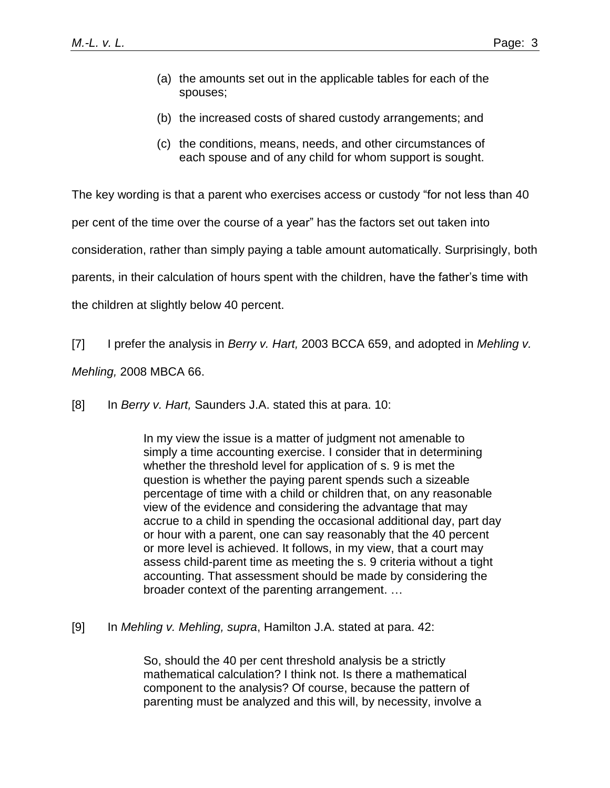- (a) the amounts set out in the applicable tables for each of the spouses;
- (b) the increased costs of shared custody arrangements; and
- (c) the conditions, means, needs, and other circumstances of each spouse and of any child for whom support is sought.

The key wording is that a parent who exercises access or custody "for not less than 40 per cent of the time over the course of a year" has the factors set out taken into consideration, rather than simply paying a table amount automatically. Surprisingly, both parents, in their calculation of hours spent with the children, have the father's time with the children at slightly below 40 percent.

[7] I prefer the analysis in *Berry v. Hart,* 2003 BCCA 659, and adopted in *Mehling v.* 

*Mehling,* 2008 MBCA 66.

[8] In *Berry v. Hart,* Saunders J.A. stated this at para. 10:

In my view the issue is a matter of judgment not amenable to simply a time accounting exercise. I consider that in determining whether the threshold level for application of s. 9 is met the question is whether the paying parent spends such a sizeable percentage of time with a child or children that, on any reasonable view of the evidence and considering the advantage that may accrue to a child in spending the occasional additional day, part day or hour with a parent, one can say reasonably that the 40 percent or more level is achieved. It follows, in my view, that a court may assess child-parent time as meeting the s. 9 criteria without a tight accounting. That assessment should be made by considering the broader context of the parenting arrangement. …

[9] In *Mehling v. Mehling, supra*, Hamilton J.A. stated at para. 42:

So, should the 40 per cent threshold analysis be a strictly mathematical calculation? I think not. Is there a mathematical component to the analysis? Of course, because the pattern of parenting must be analyzed and this will, by necessity, involve a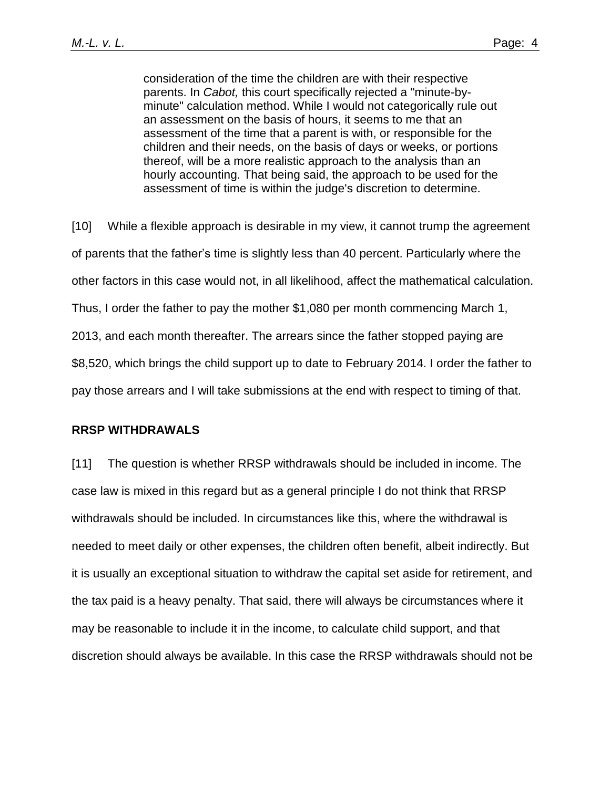consideration of the time the children are with their respective parents. In *Cabot,* this court specifically rejected a "minute-byminute" calculation method. While I would not categorically rule out an assessment on the basis of hours, it seems to me that an assessment of the time that a parent is with, or responsible for the children and their needs, on the basis of days or weeks, or portions thereof, will be a more realistic approach to the analysis than an hourly accounting. That being said, the approach to be used for the assessment of time is within the judge's discretion to determine.

[10] While a flexible approach is desirable in my view, it cannot trump the agreement of parents that the father's time is slightly less than 40 percent. Particularly where the other factors in this case would not, in all likelihood, affect the mathematical calculation. Thus, I order the father to pay the mother \$1,080 per month commencing March 1, 2013, and each month thereafter. The arrears since the father stopped paying are \$8,520, which brings the child support up to date to February 2014. I order the father to pay those arrears and I will take submissions at the end with respect to timing of that.

### **RRSP WITHDRAWALS**

[11] The question is whether RRSP withdrawals should be included in income. The case law is mixed in this regard but as a general principle I do not think that RRSP withdrawals should be included. In circumstances like this, where the withdrawal is needed to meet daily or other expenses, the children often benefit, albeit indirectly. But it is usually an exceptional situation to withdraw the capital set aside for retirement, and the tax paid is a heavy penalty. That said, there will always be circumstances where it may be reasonable to include it in the income, to calculate child support, and that discretion should always be available. In this case the RRSP withdrawals should not be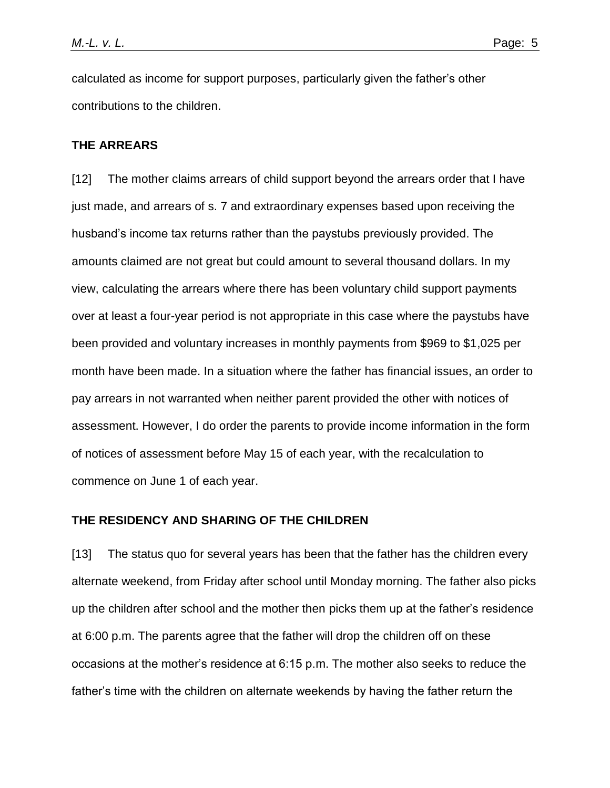calculated as income for support purposes, particularly given the father's other contributions to the children.

## **THE ARREARS**

[12] The mother claims arrears of child support beyond the arrears order that I have just made, and arrears of s. 7 and extraordinary expenses based upon receiving the husband's income tax returns rather than the paystubs previously provided. The amounts claimed are not great but could amount to several thousand dollars. In my view, calculating the arrears where there has been voluntary child support payments over at least a four-year period is not appropriate in this case where the paystubs have been provided and voluntary increases in monthly payments from \$969 to \$1,025 per month have been made. In a situation where the father has financial issues, an order to pay arrears in not warranted when neither parent provided the other with notices of assessment. However, I do order the parents to provide income information in the form of notices of assessment before May 15 of each year, with the recalculation to commence on June 1 of each year.

## **THE RESIDENCY AND SHARING OF THE CHILDREN**

[13] The status quo for several years has been that the father has the children every alternate weekend, from Friday after school until Monday morning. The father also picks up the children after school and the mother then picks them up at the father's residence at 6:00 p.m. The parents agree that the father will drop the children off on these occasions at the mother's residence at 6:15 p.m. The mother also seeks to reduce the father's time with the children on alternate weekends by having the father return the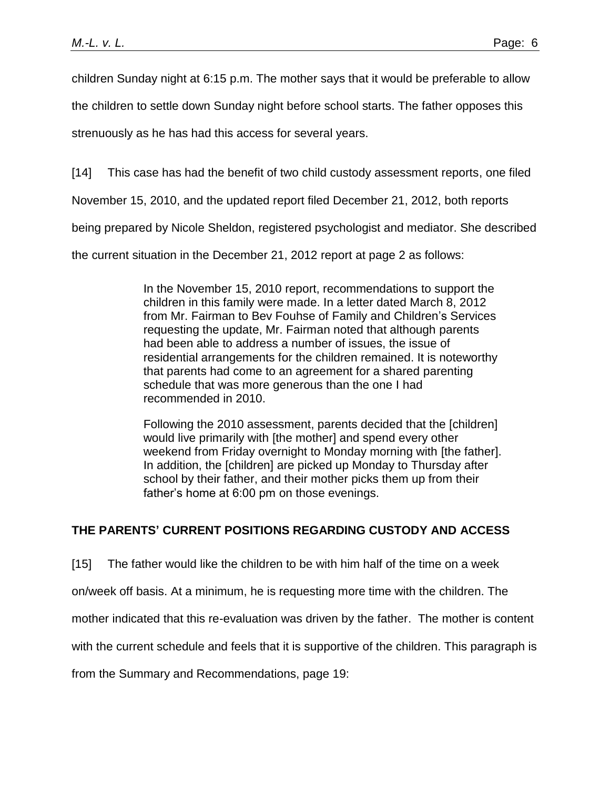children Sunday night at 6:15 p.m. The mother says that it would be preferable to allow

the children to settle down Sunday night before school starts. The father opposes this

strenuously as he has had this access for several years.

[14] This case has had the benefit of two child custody assessment reports, one filed

November 15, 2010, and the updated report filed December 21, 2012, both reports

being prepared by Nicole Sheldon, registered psychologist and mediator. She described

the current situation in the December 21, 2012 report at page 2 as follows:

In the November 15, 2010 report, recommendations to support the children in this family were made. In a letter dated March 8, 2012 from Mr. Fairman to Bev Fouhse of Family and Children's Services requesting the update, Mr. Fairman noted that although parents had been able to address a number of issues, the issue of residential arrangements for the children remained. It is noteworthy that parents had come to an agreement for a shared parenting schedule that was more generous than the one I had recommended in 2010.

Following the 2010 assessment, parents decided that the [children] would live primarily with [the mother] and spend every other weekend from Friday overnight to Monday morning with [the father]. In addition, the [children] are picked up Monday to Thursday after school by their father, and their mother picks them up from their father's home at 6:00 pm on those evenings.

# **THE PARENTS' CURRENT POSITIONS REGARDING CUSTODY AND ACCESS**

[15] The father would like the children to be with him half of the time on a week

on/week off basis. At a minimum, he is requesting more time with the children. The

mother indicated that this re-evaluation was driven by the father. The mother is content

with the current schedule and feels that it is supportive of the children. This paragraph is

from the Summary and Recommendations, page 19: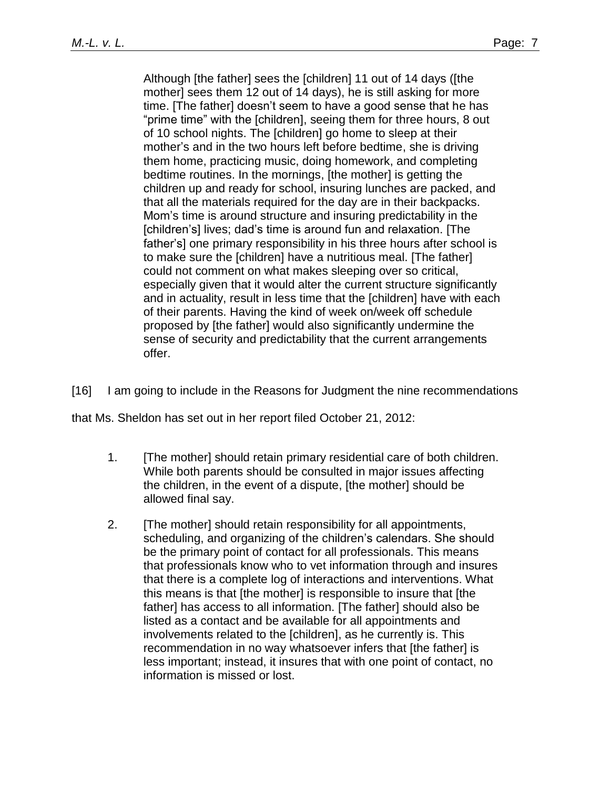Although [the father] sees the [children] 11 out of 14 days ([the mother] sees them 12 out of 14 days), he is still asking for more time. [The father] doesn't seem to have a good sense that he has "prime time" with the [children], seeing them for three hours, 8 out of 10 school nights. The [children] go home to sleep at their mother's and in the two hours left before bedtime, she is driving them home, practicing music, doing homework, and completing bedtime routines. In the mornings, [the mother] is getting the children up and ready for school, insuring lunches are packed, and that all the materials required for the day are in their backpacks. Mom's time is around structure and insuring predictability in the [children's] lives; dad's time is around fun and relaxation. [The father's] one primary responsibility in his three hours after school is to make sure the [children] have a nutritious meal. [The father] could not comment on what makes sleeping over so critical, especially given that it would alter the current structure significantly and in actuality, result in less time that the [children] have with each of their parents. Having the kind of week on/week off schedule proposed by [the father] would also significantly undermine the sense of security and predictability that the current arrangements offer.

[16] I am going to include in the Reasons for Judgment the nine recommendations

that Ms. Sheldon has set out in her report filed October 21, 2012:

- 1. [The mother] should retain primary residential care of both children. While both parents should be consulted in major issues affecting the children, in the event of a dispute, [the mother] should be allowed final say.
- 2. [The mother] should retain responsibility for all appointments, scheduling, and organizing of the children's calendars. She should be the primary point of contact for all professionals. This means that professionals know who to vet information through and insures that there is a complete log of interactions and interventions. What this means is that [the mother] is responsible to insure that [the father] has access to all information. [The father] should also be listed as a contact and be available for all appointments and involvements related to the [children], as he currently is. This recommendation in no way whatsoever infers that [the father] is less important; instead, it insures that with one point of contact, no information is missed or lost.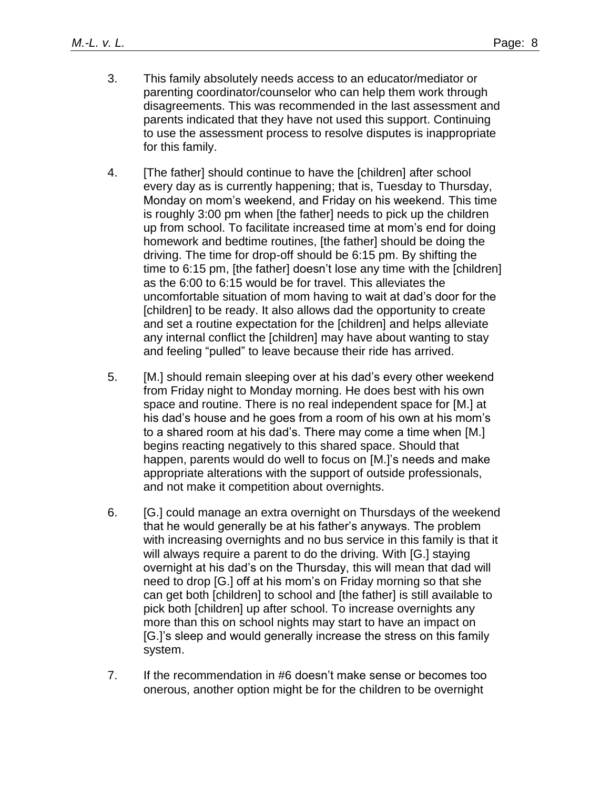- 3. This family absolutely needs access to an educator/mediator or parenting coordinator/counselor who can help them work through disagreements. This was recommended in the last assessment and parents indicated that they have not used this support. Continuing to use the assessment process to resolve disputes is inappropriate for this family.
- 4. [The father] should continue to have the [children] after school every day as is currently happening; that is, Tuesday to Thursday, Monday on mom's weekend, and Friday on his weekend. This time is roughly 3:00 pm when [the father] needs to pick up the children up from school. To facilitate increased time at mom's end for doing homework and bedtime routines, [the father] should be doing the driving. The time for drop-off should be 6:15 pm. By shifting the time to 6:15 pm, [the father] doesn't lose any time with the [children] as the 6:00 to 6:15 would be for travel. This alleviates the uncomfortable situation of mom having to wait at dad's door for the [children] to be ready. It also allows dad the opportunity to create and set a routine expectation for the [children] and helps alleviate any internal conflict the [children] may have about wanting to stay and feeling "pulled" to leave because their ride has arrived.
- 5. [M.] should remain sleeping over at his dad's every other weekend from Friday night to Monday morning. He does best with his own space and routine. There is no real independent space for [M.] at his dad's house and he goes from a room of his own at his mom's to a shared room at his dad's. There may come a time when [M.] begins reacting negatively to this shared space. Should that happen, parents would do well to focus on [M.]'s needs and make appropriate alterations with the support of outside professionals, and not make it competition about overnights.
- 6. [G.] could manage an extra overnight on Thursdays of the weekend that he would generally be at his father's anyways. The problem with increasing overnights and no bus service in this family is that it will always require a parent to do the driving. With [G.] staying overnight at his dad's on the Thursday, this will mean that dad will need to drop [G.] off at his mom's on Friday morning so that she can get both [children] to school and [the father] is still available to pick both [children] up after school. To increase overnights any more than this on school nights may start to have an impact on [G.]'s sleep and would generally increase the stress on this family system.
- 7. If the recommendation in #6 doesn't make sense or becomes too onerous, another option might be for the children to be overnight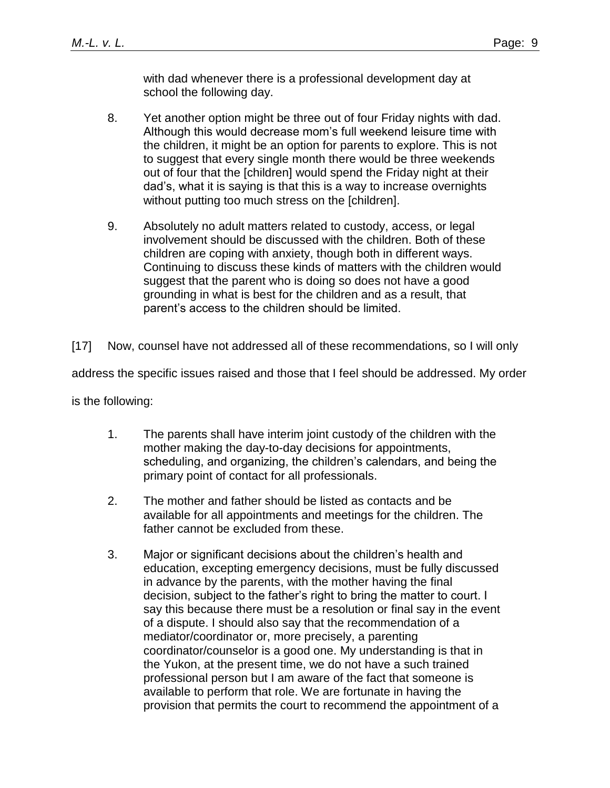with dad whenever there is a professional development day at school the following day.

- 8. Yet another option might be three out of four Friday nights with dad. Although this would decrease mom's full weekend leisure time with the children, it might be an option for parents to explore. This is not to suggest that every single month there would be three weekends out of four that the [children] would spend the Friday night at their dad's, what it is saying is that this is a way to increase overnights without putting too much stress on the [children].
- 9. Absolutely no adult matters related to custody, access, or legal involvement should be discussed with the children. Both of these children are coping with anxiety, though both in different ways. Continuing to discuss these kinds of matters with the children would suggest that the parent who is doing so does not have a good grounding in what is best for the children and as a result, that parent's access to the children should be limited.

[17] Now, counsel have not addressed all of these recommendations, so I will only

address the specific issues raised and those that I feel should be addressed. My order

is the following:

- 1. The parents shall have interim joint custody of the children with the mother making the day-to-day decisions for appointments, scheduling, and organizing, the children's calendars, and being the primary point of contact for all professionals.
- 2. The mother and father should be listed as contacts and be available for all appointments and meetings for the children. The father cannot be excluded from these.
- 3. Major or significant decisions about the children's health and education, excepting emergency decisions, must be fully discussed in advance by the parents, with the mother having the final decision, subject to the father's right to bring the matter to court. I say this because there must be a resolution or final say in the event of a dispute. I should also say that the recommendation of a mediator/coordinator or, more precisely, a parenting coordinator/counselor is a good one. My understanding is that in the Yukon, at the present time, we do not have a such trained professional person but I am aware of the fact that someone is available to perform that role. We are fortunate in having the provision that permits the court to recommend the appointment of a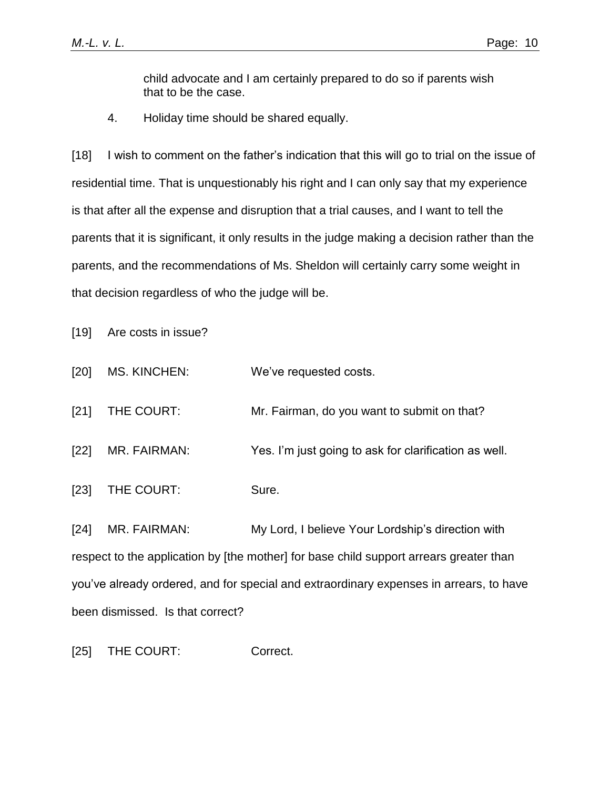child advocate and I am certainly prepared to do so if parents wish that to be the case.

4. Holiday time should be shared equally.

[18] I wish to comment on the father's indication that this will go to trial on the issue of residential time. That is unquestionably his right and I can only say that my experience is that after all the expense and disruption that a trial causes, and I want to tell the parents that it is significant, it only results in the judge making a decision rather than the parents, and the recommendations of Ms. Sheldon will certainly carry some weight in that decision regardless of who the judge will be.

[19] Are costs in issue?

- [20] MS. KINCHEN: We've requested costs.
- [21] THE COURT: Mr. Fairman, do you want to submit on that?
- [22] MR. FAIRMAN: Yes. I'm just going to ask for clarification as well.
- [23] THE COURT: Sure.

[24] MR. FAIRMAN: My Lord, I believe Your Lordship's direction with respect to the application by [the mother] for base child support arrears greater than you've already ordered, and for special and extraordinary expenses in arrears, to have been dismissed. Is that correct?

[25] THE COURT: Correct.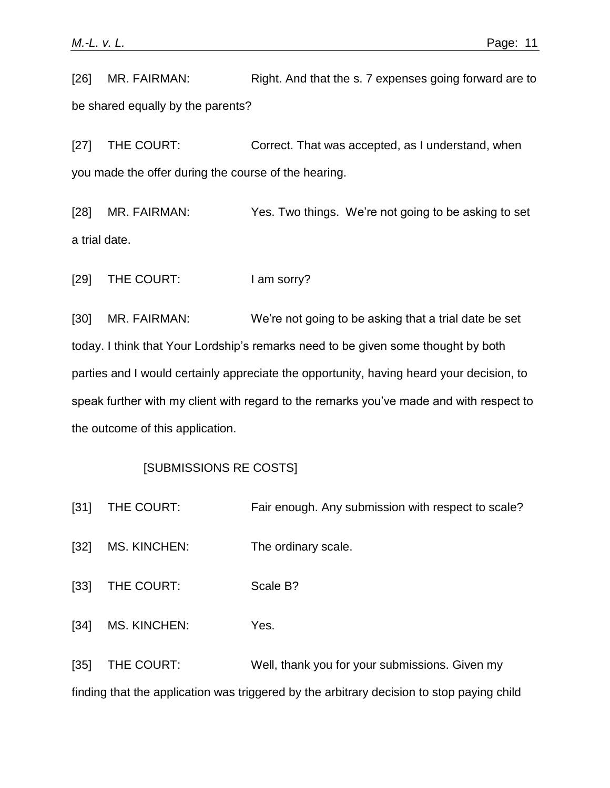[26] MR. FAIRMAN: Right. And that the s. 7 expenses going forward are to be shared equally by the parents?

[27] THE COURT: Correct. That was accepted, as I understand, when you made the offer during the course of the hearing.

[28] MR. FAIRMAN: Yes. Two things. We're not going to be asking to set a trial date.

[29] THE COURT: I am sorry?

[30] MR. FAIRMAN: We're not going to be asking that a trial date be set today. I think that Your Lordship's remarks need to be given some thought by both parties and I would certainly appreciate the opportunity, having heard your decision, to speak further with my client with regard to the remarks you've made and with respect to the outcome of this application.

# [SUBMISSIONS RE COSTS]

- [31] THE COURT: Fair enough. Any submission with respect to scale?
- [32] MS. KINCHEN: The ordinary scale.
- [33] THE COURT: Scale B?
- [34] MS. KINCHEN: Yes.

[35] THE COURT: Well, thank you for your submissions. Given my finding that the application was triggered by the arbitrary decision to stop paying child